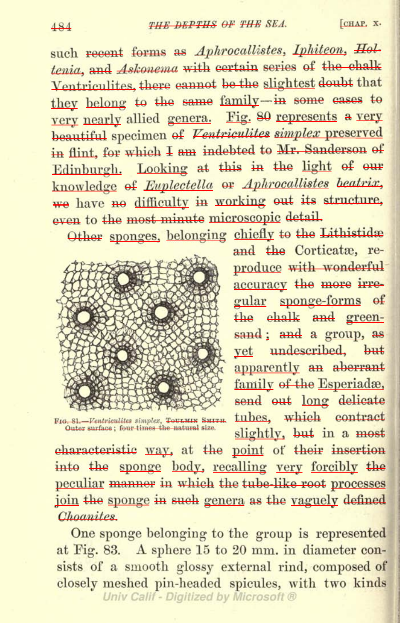## 484 THE DEPTHS OF THE SEA. [CHAP. X.

such recent forms as Aphrocallistes, Iphiteon, Holtenia, and *Askonema* with certain series of the chalk Ventriculites, there cannot be the slightest doubt that they belong to the same family-in some cases to very nearly allied genera. Fig. 80 represents a very beautiful specimen of Ventriculites simplex preserved in flint, for which <sup>I</sup> am indebted to Mr. Sanderson of Edinburgh. Looking at this in the light of our knowledge of Euplectella or Aphrocallistes beatrix, we have no difficulty in working out its structure, even to the most minute microscopic detail.

Other sponges, belonging chiefly to the Lithistidae



and the Corticatæ, reproduce with wonderful accuracy the more irregular sponge-forms of the chalk and greensand ; and a group, as yet undescribed, but apparently an aberrant family of the Esperiadæ, send out long delicate<br>tubes. which contract FIG. 81.-Ventriculites simplex, TOULMIN SMITH. tubes, which contract SERGOUNDER SURFACE SURFACE SURFACE SURFACE ; SL. Fontriculites simpler, Tour and Surface ; i function of state surface ; four times the natural size.

characteristic way, at the point of their insertion into the sponge body, recalling very forcibly the peculiar manner in which the tube-like root processes join the sponge in such genera as the vaguely defined Choanites.

One sponge belonging to the group is represented at Fig. 83. A sphere <sup>15</sup> to <sup>20</sup> mm. in diameter consists of <sup>a</sup> smooth glossy external rind, composed of closely meshed pin-headed spicules, with two kinds<br>Univ Calif - Digitized by Microsoft ®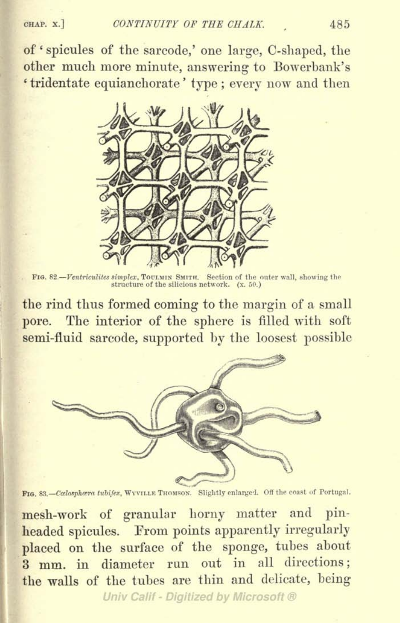of ' spicules of the sarcode,' one large, C-shaped, the other much more minute, answering to Bowerbank's ' tridentate equianchorate ' type ; every now and then



FIG. 82.—Ventriculites simplex, TOULMIN SMITH. Section of the outer wall, showing the structure of the silicious network.  $(x, 50)$ .

the rind thus formed coming to the margin of <sup>a</sup> small pore. The interior of the sphere is filled with soft semi-fluid sarcode, supported by the loosest possible



FIG. 83. - Calosphara tubifex, WYVILLE THOMSON. Slightly enlarged. Off the coast of Portugal.

mesh-work of granular horny matter and pinheaded spicules. Erom points apparently irregularly placed on the surface of the sponge, tubes about 3 mm. in diameter run out in all directions; the walls of the tubes are thin and delicate, being

Univ Calif - Digitized by Microsoft ®